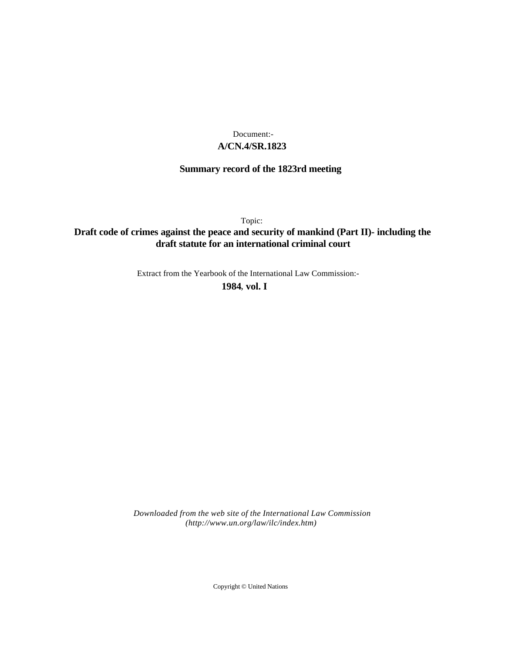# **A/CN.4/SR.1823** Document:-

# **Summary record of the 1823rd meeting**

Topic:

# **Draft code of crimes against the peace and security of mankind (Part II)- including the draft statute for an international criminal court**

Extract from the Yearbook of the International Law Commission:-

**1984** , **vol. I**

*Downloaded from the web site of the International Law Commission (http://www.un.org/law/ilc/index.htm)*

Copyright © United Nations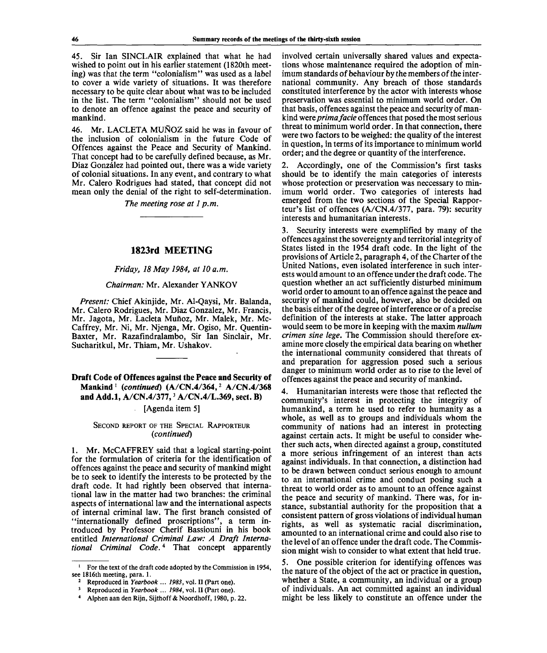45. Sir Ian SINCLAIR explained that what he had wished to point out in his earlier statement (1820th meeting) was that the term "colonialism" was used as a label to cover a wide variety of situations. It was therefore necessary to be quite clear about what was to be included in the list. The term "colonialism" should not be used to denote an offence against the peace and security of mankind.

46. Mr. LACLETA MUNOZ said he was in favour of the inclusion of colonialism in the future Code of Offences against the Peace and Security of Mankind. That concept had to be carefully defined because, as Mr. Díaz González had pointed out, there was a wide variety of colonial situations. In any event, and contrary to what Mr. Calero Rodrigues had stated, that concept did not mean only the denial of the right to self-determination.

*The meeting rose at 1 p.m.*

### **1823rd MEETING**

#### *Friday, 18May 1984, at 10 a.m.*

### *Chairman:* Mr. Alexander YANKOV

*Present:* Chief Akinjide, Mr. Al-Qaysi, Mr. Balanda, Mr. Calero Rodrigues, Mr. Diaz Gonzalez, Mr. Francis, Mr. Jagota, Mr. Lacleta Mufioz, Mr. Malek, Mr. Mc-Caffrey, Mr. Ni, Mr. Njenga, Mr. Ogiso, Mr. Quentin-Baxter, Mr. Razafindralambo, Sir Ian Sinclair, Mr. Sucharitkul, Mr. Thiam, Mr. Ushakov.

**Draft Code of Offences against the Peace and Security of Mankind<sup>1</sup>**  *{continued)* **(A/CN.4/364,<sup>2</sup> A/CN.4/368 and Add.l, A/CN.4/377,**<sup>3</sup>  **A/CN.4/L.369, sect. B)**

## [Agenda item 5]

#### SECOND REPORT OF THE SPECIAL RAPPORTEUR *{continued)*

1. Mr. McCAFFREY said that a logical starting-point for the formulation of criteria for the identification of offences against the peace and security of mankind might be to seek to identify the interests to be protected by the draft code. It had rightly been observed that international law in the matter had two branches: the criminal aspects of international law and the international aspects of internal criminal law. The first branch consisted of "internationally defined proscriptions", a term introduced by Professor Cherif Bassiouni in his book entitled *International Criminal Law: A Draft International Criminal Code.<sup>4</sup>* That concept apparently

involved certain universally shared values and expectations whose maintenance required the adoption of minimum standards of behaviour by the members of the international community. Any breach of those standards constituted interference by the actor with interests whose preservation was essential to minimum world order. On that basis, offences against the peace and security of mankind were *prima facie* offences that posed the most serious threat to minimum world order. In that connection, there were two factors to be weighed: the quality of the interest in question, in terms of its importance to minimum world order; and the degree or quantity of the interference.

2. Accordingly, one of the Commission's first tasks should be to identify the main categories of interests whose protection or preservation was neccessary to minimum world order. Two categories of interests had emerged from the two sections of the Special Rapporteur's list of offences (A/CN.4/377, para. 79): security interests and humanitarian interests.

3. Security interests were exemplified by many of the offences against the sovereignty and territorial integrity of States listed in the 1954 draft code. In the light of the provisions of Article 2, paragraph 4, of the Charter of the United Nations, even isolated interference in such interests would amount to an offence under the draft code. The question whether an act sufficiently disturbed minimum world order to amount to an offence against the peace and security of mankind could, however, also be decided on the basis either of the degree of interference or of a precise definition of the interests at stake. The latter approach would seem to be more in keeping with the maxim *nullum crimen sine lege.* The Commission should therefore examine more closely the empirical data bearing on whether the international community considered that threats of and preparation for aggression posed such a serious danger to minimum world order as to rise to the level of offences against the peace and security of mankind.

4. Humanitarian interests were those that reflected the community's interest in protecting the integrity of humankind, a term he used to refer to humanity as a whole, as well as to groups and individuals whom the community of nations had an interest in protecting against certain acts. It might be useful to consider whether such acts, when directed against a group, constituted a more serious infringement of an interest than acts against individuals. In that connection, a distinction had to be drawn between conduct serious enough to amount to an international crime and conduct posing such a threat to world order as to amount to an offence against the peace and security of mankind. There was, for instance, substantial authority for the proposition that a consistent pattern of gross violations of individual human rights, as well as systematic racial discrimination, amounted to an international crime and could also rise to the level of an offence under the draft code. The Commission might wish to consider to what extent that held true.

5. One possible criterion for identifying offences was the nature of the object of the act or practice in question, whether a State, a community, an individual or a group of individuals. An act committed against an individual might be less likely to constitute an offence under the

<sup>&</sup>lt;sup>1</sup> For the text of the draft code adopted by the Commission in 1954, see 1816th meeting, para. 1.<br><sup>2</sup> Bangaduaad in Kaarba

Reproduced in *Yearbook* ... *1983,* vol. II (Part one).

<sup>3</sup> Reproduced in *Yearbook* ... *1984,* vol. II (Part one).

<sup>4</sup> Alphen aan den Rijn, Sijthoff & Noordhoff, 1980, p. 22.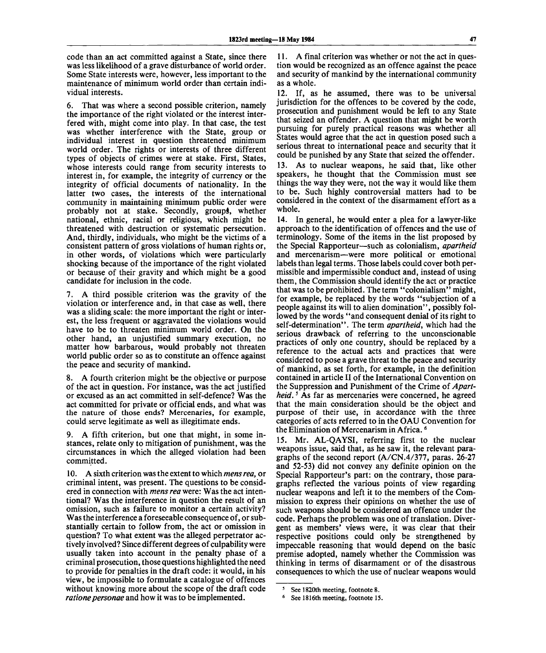code than an act committed against a State, since there was less likelihood of a grave disturbance of world order. Some State interests were, however, less important to the maintenance of minimum world order than certain individual interests.

6. That was where a second possible criterion, namely the importance of the right violated or the interest interfered with, might come into play. In that case, the test was whether interference with the State, group or individual interest in question threatened minimum world order. The rights or interests of three different types of objects of crimes were at stake. First, States, whose interests could range from security interests to interest in, for example, the integrity of currency or the integrity of official documents of nationality. In the latter two cases, the interests of the international community in maintaining minimum public order were probably not at stake. Secondly, groups, whether national, ethnic, racial or religious, which might be threatened with destruction or systematic persecution. And, thirdly, individuals, who might be the victims of a consistent pattern of gross violations of human rights or, in other words, of violations which were particularly shocking because of the importance of the right violated or because of their gravity and which might be a good candidate for inclusion in the code.

7. A third possible criterion was the gravity of the violation or interference and, in that case as well, there was a sliding scale: the more important the right or interest, the less frequent or aggravated the violations would have to be to threaten minimum world order. On the other hand, an unjustified summary execution, no matter how barbarous, would probably not threaten world public order so as to constitute an offence against the peace and security of mankind.

8. A fourth criterion might be the objective or purpose of the act in question. For instance, was the act justified or excused as an act committed in self-defence? Was the act committed for private or official ends, and what was the nature of those ends? Mercenaries, for example, could serve legitimate as well as illegitimate ends.

9. A fifth criterion, but one that might, in some instances, relate only to mitigation of punishment, was the circumstances in which the alleged violation had been committed.

10. A sixth criterion was the extent to which *mens rea,* or criminal intent, was present. The questions to be considered in connection with *mens rea* were: Was the act intentional? Was the interference in question the result of an omission, such as failure to monitor a certain activity? Was the interference a foreseeable consequence of, or substantially certain to follow from, the act or omission in question? To what extent was the alleged perpetrator actively involved? Since different degrees of culpability were usually taken into account in the penalty phase of a criminal prosecution, those questions highlighted the need to provide for penalties in the draft code: it would, in his view, be impossible to formulate a catalogue of offences without knowing more about the scope of the draft code *ratione personae* and how it was to be implemented.

11. A final criterion was whether or not the act in question would be recognized as an offence against the peace and security of mankind by the international community as a whole.

12. If, as he assumed, there was to be universal jurisdiction for the offences to be covered by the code, prosecution and punishment would be left to any State that seized an offender. A question that might be worth pursuing for purely practical reasons was whether all States would agree that the act in question posed such a serious threat to international peace and security that it could be punished by any State that seized the offender. 13. As to nuclear weapons, he said that, like other speakers, he thought that the Commission must see things the way they were, not the way it would like them to be. Such highly controversial matters had to be considered in the context of the disarmament effort as a whole.

14. In general, he would enter a plea for a lawyer-like approach to the identification of offences and the use of terminology. Some of the items in the list proposed by the Special Rapporteur—such as colonialism, *apartheid* and mercenarism—were more political or emotional labels than legal terms. Those labels could cover both permissible and impermissible conduct and, instead of using them, the Commission should identify the act or practice that was to be prohibited. The term "colonialism" might, for example, be replaced by the words "subjection of a people against its will to alien domination", possibly followed by the words "and consequent denial of its right to self-determination". The term *apartheid,* which had the serious drawback of referring to the unconscionable practices of only one country, should be replaced by a reference to the actual acts and practices that were considered to pose a grave threat to the peace and security of mankind, as set forth, for example, in the definition contained in article II of the International Convention on the Suppression and Punishment of the Crime of *Apartheid.*<sup>5</sup> As far as mercenaries were concerned, he agreed that the main consideration should be the object and purpose of their use, in accordance with the three categories of acts referred to in the OAU Convention for the Elimination of Mercenarism in Africa.<sup>6</sup>

15. Mr. AL-QAYSI, referring first to the nuclear weapons issue, said that, as he saw it, the relevant paragraphs of the second report (A/CN.4/377, paras. 26-27 and 52-53) did not convey any definite opinion on the Special Rapporteur's part: on the contrary, those paragraphs reflected the various points of view regarding nuclear weapons and left it to the members of the Commission to express their opinions on whether the use of such weapons should be considered an offence under the code. Perhaps the problem was one of translation. Divergent as members' views were, it was clear that their respective positions could only be strengthened by impeccable reasoning that would depend on the basic premise adopted, namely whether the Commission was thinking in terms of disarmament or of the disastrous consequences to which the use of nuclear weapons would

<sup>5</sup> See 1820th meeting, footnote 8.

<sup>6</sup> See 1816th meeting, footnote 15.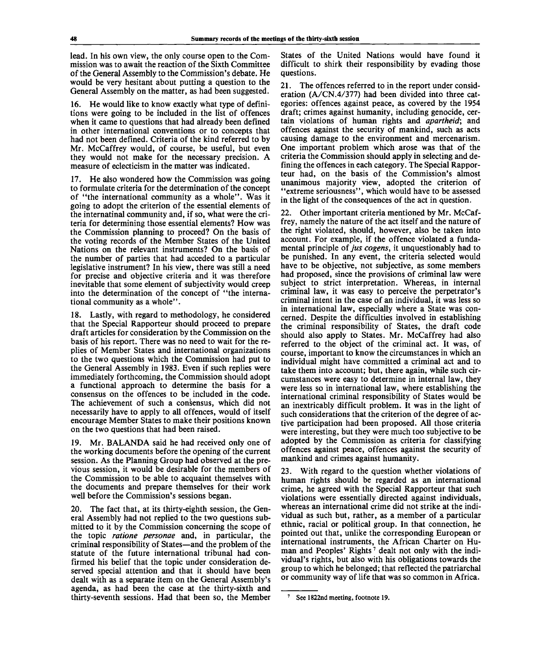lead. In his own view, the only course open to the Commission was to await the reaction of the Sixth Committee of the General Assembly to the Commission's debate. He would be very hesitant about putting a question to the General Assembly on the matter, as had been suggested.

16. He would like to know exactly what type of definitions were going to be included in the list of offences when it came to questions that had already been defined in other international conventions or to concepts that had not been defined. Criteria of the kind referred to by Mr. McCaffrey would, of course, be useful, but even they would not make for the necessary precision. A measure of eclecticism in the matter was indicated.

17. He also wondered how the Commission was going to formulate criteria for the determination of the concept of "the international community as a whole". Was it going to adopt the criterion of the essential elements of the internatinal community and, if so, what were the criteria for determining those essential elements? How was the Commission planning to proceed? On the basis of the voting records of the Member States of the United Nations on the relevant instruments? On the basis of the number of parties that had acceded to a particular legislative instrument? In his view, there was still a need for precise and objective criteria and it was therefore inevitable that some element of subjectivity would creep into the determination of the concept of "the international community as a whole".

18. Lastly, with regard to methodology, he considered that the Special Rapporteur should proceed to prepare draft articles for consideration by the Commission on the basis of his report. There was no need to wait for the replies of Member States and international organizations to the two questions which the Commission had put to the General Assembly in 1983. Even if such replies were immediately forthcoming, the Commission should adopt a functional approach to determine the basis for a consensus on the offences to be included in the code. The achievement of such a consensus, which did not necessarily have to apply to all offences, would of itself encourage Member States to make their positions known on the two questions that had been raised.

19. Mr. BALANDA said he had received only one of the working documents before the opening of the current session. As the Planning Group had observed at the previous session, it would be desirable for the members of the Commission to be able to acquaint themselves with the documents and prepare themselves for their work well before the Commission's sessions began.

20. The fact that, at its thirty-eighth session, the General Assembly had not replied to the two questions submitted to it by the Commission concerning the scope of the topic *ratione personae* and, in particular, the criminal responsibility of States—and the problem of the statute of the future international tribunal had confirmed his belief that the topic under consideration deserved special attention and that it should have been dealt with as a separate item on the General Assembly's agenda, as had been the case at the thirty-sixth and thirty-seventh sessions. Had that been so, the Member

States of the United Nations would have found it difficult to shirk their responsibility by evading those questions.

21. The offences referred to in the report under consideration (A/CN.4/377) had been divided into three categories: offences against peace, as covered by the 1954 draft; crimes against humanity, including genocide, certain violations of human rights and *apartheid;* and offences against the security of mankind, such as acts causing damage to the environment and mercenarism. One important problem which arose was that of the criteria the Commission should apply in selecting and defining the offences in each category. The Special Rapporteur had, on the basis of the Commission's almost unanimous majority view, adopted the criterion of "extreme seriousness", which would have to be assessed in the light of the consequences of the act in question.

22. Other important criteria mentioned by Mr. McCaffrey, namely the nature of the act itself and the nature of the right violated, should, however, also be taken into account. For example, if the offence violated a fundamental principle of *jus cogens,* it unquestionably had to be punished. In any event, the criteria selected would have to be objective, not subjective, as some members had proposed, since the provisions of criminal law were subject to strict interpretation. Whereas, in internal criminal law, it was easy to perceive the perpetrator's criminal intent in the case of an individual, it was less so in international law, especially where a State was concerned. Despite the difficulties involved in establishing the criminal responsibility of States, the draft code should also apply to States. Mr. McCaffrey had also referred to the object of the criminal act. It was, of course, important to know the circumstances in which an individual might have committed a criminal act and to take them into account; but, there again, while such circumstances were easy to determine in internal law, they were less so in international law, where establishing the international criminal responsibility of States would be an inextricably difficult problem. It was in the light of such considerations that the criterion of the degree of active participation had been proposed. All those criteria were interesting, but they were much too subjective to be adopted by the Commission as criteria for classifying offences against peace, offences against the security of mankind and crimes against humanity.

23. With regard to the question whether violations of human rights should be regarded as an international crime, he agreed with the Special Rapporteur that such violations were essentially directed against individuals, whereas an international crime did not strike at the individual as such but, rather, as a member of a particular ethnic, racial or political group. In that connection, he pointed out that, unlike the corresponding European or international instruments, the African Charter on Human and Peoples' Rights<sup>7</sup> dealt not only with the individual's rights, but also with his obligations towards the group to which he belonged; that reflected the patriarchal or community way of life that was so common in Africa.

<sup>&</sup>lt;sup>7</sup> See 1822nd meeting, footnote 19.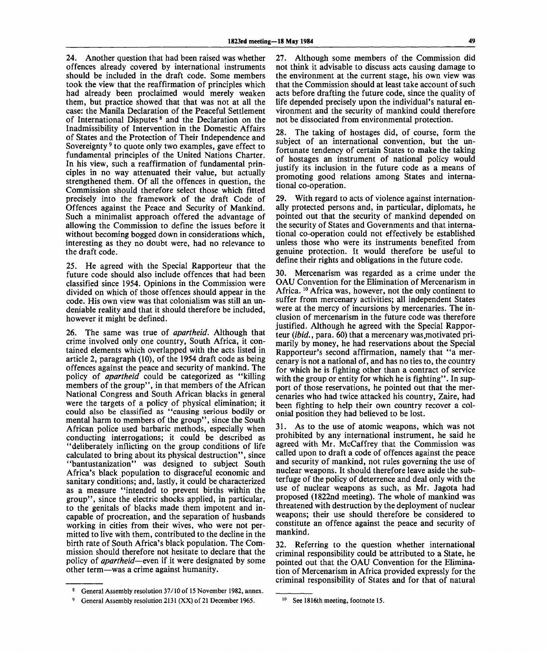24. Another question that had been raised was whether offences already covered by international instruments should be included in the draft code. Some members took the view that the reaffirmation of principles which had already been proclaimed would merely weaken them, but practice showed that that was not at all the case: the Manila Declaration of the Peaceful Settlement of International Disputes  $\delta$  and the Declaration on the Inadmissibility of Intervention in the Domestic Affairs of States and the Protection of Their Independence and Sovereignty<sup>9</sup> to quote only two examples, gave effect to fundamental principles of the United Nations Charter. In his view, such a reaffirmation of fundamental principles in no way attenuated their value, but actually strengthened them. Of all the offences in question, the Commission should therefore select those which fitted precisely into the framework of the draft Code of Offences against the Peace and Security of Mankind. Such a minimalist approach offered the advantage of allowing the Commission to define the issues before it without becoming bogged down in considerations which, interesting as they no doubt were, had no relevance to the draft code.

25. He agreed with the Special Rapporteur that the future code should also include offences that had been classified since 1954. Opinions in the Commission were divided on which of those offences should appear in the code. His own view was that colonialism was still an undeniable reality and that it should therefore be included, however it might be defined.

26. The same was true of *apartheid.* Although that crime involved only one country, South Africa, it contained elements which overlapped with the acts listed in article 2, paragraph (10), of the 1954 draft code as being offences against the peace and security of mankind. The policy of *apartheid* could be categorized as "killing members of the group", in that members of the African National Congress and South African blacks in general were the targets of a policy of physical elimination; it could also be classified as "causing serious bodily or mental harm to members of the group", since the South African police used barbaric methods, especially when conducting interrogations; it could be described as "deliberately inflicting on the group conditions of life calculated to bring about its physical destruction", since "bantustanization" was designed to subject South Africa's black population to disgraceful economic and sanitary conditions; and, lastly, it could be characterized as a measure "intended to prevent births within the group", since the electric shocks applied, in particular, to the genitals of blacks made them impotent and incapable of procreation, and the separation of husbands working in cities from their wives, who were not permitted to live with them, contributed to the decline in the birth rate of South Africa's black population. The Commission should therefore not hesitate to declare that the policy of *apartheid*—even if it were designated by some other term—was a crime against humanity.

27. Although some members of the Commission did not think it advisable to discuss acts causing damage to the environment at the current stage, his own view was that the Commission should at least take account of such acts before drafting the future code, since the quality of life depended precisely upon the individual's natural environment and the security of mankind could therefore not be dissociated from environmental protection.

28. The taking of hostages did, of course, form the subject of an international convention, but the unfortunate tendency of certain States to make the taking of hostages an instrument of national policy would justify its inclusion in the future code as a means of promoting good relations among States and international co-operation.

29. With regard to acts of violence against internationally protected persons and, in particular, diplomats, he pointed out that the security of mankind depended on the security of States and Governments and that international co-operation could not effectively be established unless those who were its instruments benefited from genuine protection. It would therefore be useful to define their rights and obligations in the future code.

30. Mercenarism was regarded as a crime under the OAU Convention for the Elimination of Mercenarism in Africa.<sup>10</sup> Africa was, however, not the only continent to suffer from mercenary activities; all independent States were at the mercy of incursions by mercenaries. The inclusion of mercenarism in the future code was therefore justified. Although he agreed with the Special Rapporteur *(ibid.*, para. 60) that a mercenary was motivated primarily by money, he had reservations about the Special Rapporteur's second affirmation, namely that "a mercenary is not a national of, and has no ties to, the country for which he is fighting other than a contract of service with the group or entity for which he is fighting". In support of those reservations, he pointed out that the mercenaries who had twice attacked his country, Zaire, had been fighting to help their own country recover a colonial position they had believed to be lost.

31. As to the use of atomic weapons, which was not prohibited by any international instrument, he said he agreed with Mr. McCaffrey that the Commission was called upon to draft a code of offences against the peace and security of mankind, not rules governing the use of nuclear weapons. It should therefore leave aside the subterfuge of the policy of deterrence and deal only with the use of nuclear weapons as such, as Mr. Jagota had proposed (1822nd meeting). The whole of mankind was threatened with destruction by the deployment of nuclear weapons; their use should therefore be considered to constitute an offence against the peace and security of mankind.

32. Referring to the question whether international criminal responsibility could be attributed to a State, he pointed out that the OAU Convention for the Elimination of Mercenarism in Africa provided expressly for the criminal responsibility of States and for that of natural

<sup>8</sup> General Assembly resolution 37/10 of 15 November 1982, annex.

<sup>9</sup> General Assembly resolution 2131 (XX) of 21 December 1965.

<sup>10</sup> See 1816th meeting, footnote 15.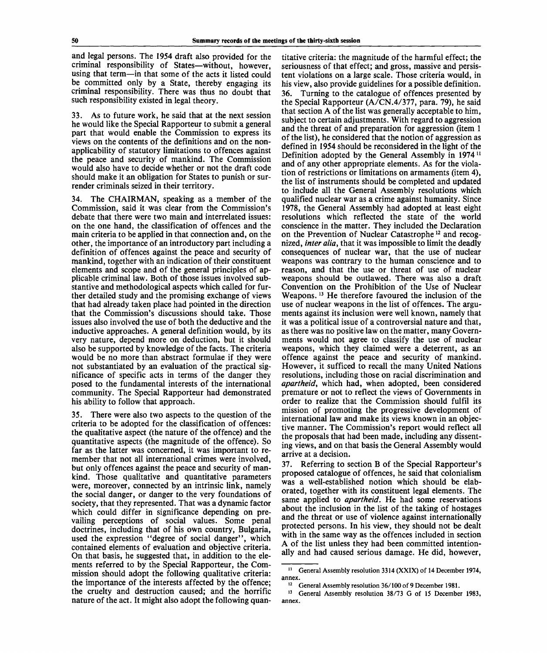and legal persons. The 1954 draft also provided for the criminal responsibility of States—without, however, using that term—in that some of the acts it listed could be committed only by a State, thereby engaging its criminal responsibility. There was thus no doubt that such responsibility existed in legal theory.

33. As to future work, he said that at the next session he would like the Special Rapporteur to submit a general part that would enable the Commission to express its views on the contents of the definitions and on the nonapplicability of statutory limitations to offences against the peace and security of mankind. The Commission would also have to decide whether or not the draft code should make it an obligation for States to punish or surrender criminals seized in their territory.

34. The CHAIRMAN, speaking as a member of the Commission, said it was clear from the Commission's debate that there were two main and interrelated issues: on the one hand, the classification of offences and the main criteria to be applied in that connection and, on the other, the importance of an introductory part including a definition of offences against the peace and security of mankind, together with an indication of their constituent elements and scope and of the general principles of applicable criminal law. Both of those issues involved substantive and methodological aspects which called for further detailed study and the promising exchange of views that had already taken place had pointed in the direction that the Commission's discussions should take. Those issues also involved the use of both the deductive and the inductive approaches. A general definition would, by its very nature, depend more on deduction, but it should also be supported by knowledge of the facts. The criteria would be no more than abstract formulae if they were not substantiated by an evaluation of the practical significance of specific acts in terms of the danger they posed to the fundamental interests of the international community. The Special Rapporteur had demonstrated his ability to follow that approach.

35. There were also two aspects to the question of the criteria to be adopted for the classification of offences: the qualitative aspect (the nature of the offence) and the quantitative aspects (the magnitude of the offence). So far as the latter was concerned, it was important to remember that not all international crimes were involved, but only offences against the peace and security of mankind. Those qualitative and quantitative parameters were, moreover, connected by an intrinsic link, namely the social danger, or danger to the very foundations of society, that they represented. That was a dynamic factor which could differ in significance depending on prevailing perceptions of social values. Some penal doctrines, including that of his own country, Bulgaria, used the expression "degree of social danger", which contained elements of evaluation and objective criteria. On that basis, he suggested that, in addition to the elements referred to by the Special Rapporteur, the Commission should adopt the following qualitative criteria: the importance of the interests affected by the offence; the cruelty and destruction caused; and the horrific nature of the act. It might also adopt the following quantitative criteria: the magnitude of the harmful effect; the seriousness of that effect; and gross, massive and persistent violations on a large scale. Those criteria would, in his view, also provide guidelines for a possible definition. 36. Turning to the catalogue of offences presented by the Special Rapporteur (A/CN.4/377, para. 79), he said that section A of the list was generally acceptable to him, subject to certain adjustments. With regard to aggression and the threat of and preparation for aggression (item 1 of the list), he considered that the notion of aggression as defined in 1954 should be reconsidered in the light of the Definition adopted by the General Assembly in  $1974<sup>1</sup>$ and of any other appropriate elements. As for the violation of restrictions or limitations on armaments (item 4), the list of instruments should be completed and updated to include all the General Assembly resolutions which qualified nuclear war as a crime against humanity. Since 1978, the General Assembly had adopted at least eight resolutions which reflected the state of the world conscience in the matter. They included the Declaration on the Prevention of Nuclear Catastrophe<sup>12</sup> and recognized, *inter alia,* that it was impossible to limit the deadly consequences of nuclear war, that the use of nuclear weapons was contrary to the human conscience and to reason, and that the use or threat of use of nuclear weapons should be outlawed. There was also a draft Convention on the Prohibition of the Use of Nuclear Weapons.<sup>13</sup> He therefore favoured the inclusion of the use of nuclear weapons in the list of offences. The arguments against its inclusion were well known, namely that it was a political issue of a controversial nature and that, as there was no positive law on the matter, many Governments would not agree to classify the use of nuclear weapons, which they claimed were a deterrent, as an offence against the peace and security of mankind. However, it sufficed to recall the many United Nations resolutions, including those on racial discrimination and *apartheid,* which had, when adopted, been considered premature or not to reflect the views of Governments in order to realize that the Commission should fulfil its mission of promoting the progressive development of international law and make its views known in an objective manner. The Commission's report would reflect all the proposals that had been made, including any dissenting views, and on that basis the General Assembly would arrive at a decision.

37. Referring to section B of the Special Rapporteur's proposed catalogue of offences, he said that colonialism was a well-established notion which should be elaborated, together with its constituent legal elements. The same applied to *apartheid.* He had some reservations about the inclusion in the list of the taking of hostages and the threat or use of violence against internationally protected persons. In his view, they should not be dealt with in the same way as the offences included in section A of the list unless they had been committed intentionally and had caused serious damage. He did, however,

<sup>11</sup> General Assembly resolution 3314 (XXIX) of 14 December 1974, annex.

<sup>&</sup>lt;sup>12</sup> General Assembly resolution 36/100 of 9 December 1981.

<sup>13</sup> General Assembly resolution 38/73 G of 15 December 1983,annex.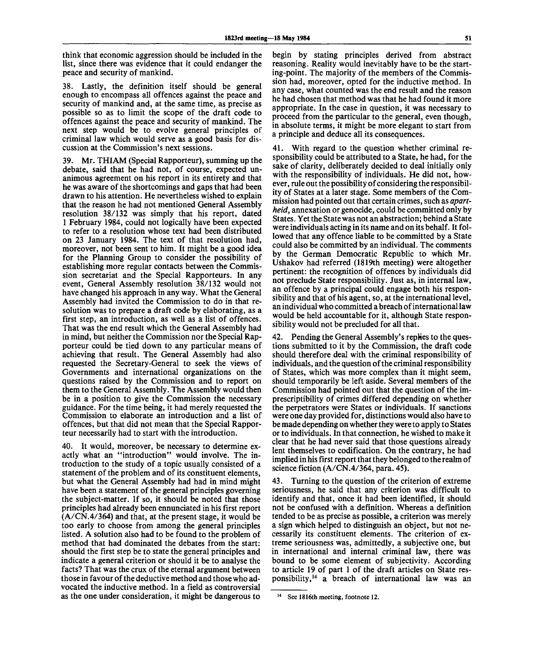think that economic aggression should be included in the list, since there was evidence that it could endanger the peace and security of mankind.

38. Lastly, the definition itself should be general enough to encompass all offences against the peace and security of mankind and, at the same time, as precise as possible so as to limit the scope of the draft code to offences against the peace and security of mankind. The next step would be to evolve general principles of criminal law which would serve as a good basis for discussion at the Commission's next sessions.

39. Mr. THIAM (Special Rapporteur), summing up the debate, said that he had not, of course, expected unanimous agreement on his report in its entirety and that he was aware of the shortcomings and gaps that had been drawn to his attention. He nevertheless wished to explain that the reason he had not mentioned General Assembly resolution 38/132 was simply that his report, dated 1 February 1984, could not logically have been expected to refer to a resolution whose text had been distributed on 23 January 1984. The text of that resolution had, moreover, not been sent to him. It might be a good idea for the Planning Group to consider the possibility of establishing more regular contacts between the Commission secretariat and the Special Rapporteurs. In any event, General Assembly resolution 38/132 would not have changed his approach in any way. What the General Assembly had invited the Commission to do in that resolution was to prepare a draft code by elaborating, as a first step, an introduction, as well as a list of offences. That was the end result which the General Assembly had in mind, but neither the Commission nor the Special Rapporteur could be tied down to any particular means of achieving that result. The General Assembly had also requested the Secretary-General to seek the views of Governments and international organizations on the questions raised by the Commission and to report on them to the General Assembly. The Assembly would then be in a position to give the Commission the necessary guidance. For the time being, it had merely requested the Commission to elaborate an introduction and a list of offences, but that did not mean that the Special Rapporteur necessarily had to start with the introduction.

40. It would, moreover, be necessary to determine exactly what an "introduction" would involve. The introduction to the study of a topic usually consisted of a statement of the problem and of its constituent elements, but what the General Assembly had had in mind might have been a statement of the general principles governing the subject-matter. If so, it should be noted that those principles had already been ennunciated in his first report (A/CN.4/364) and that, at the present stage, it would be too early to choose from among the general principles listed. A solution also had to be found to the problem of method that had dominated the debates from the start: should the first step be to state the general principles and indicate a general criterion or should it be to analyse the facts? That was the crux of the eternal argument between those in favour of the deductive method and those who advocated the inductive method. In a field as controversial as the one under consideration, it might be dangerous to

begin by stating principles derived from abstract reasoning. Reality would inevitably have to be the starting-point. The majority of the members of the Commission had, moreover, opted for the inductive method. In any case, what counted was the end result and the reason he had chosen that method was that he had found it more appropriate. In the case in question, it was necessary to proceed from the particular to the general, even though, in absolute terms, it might be more elegant to start from a principle and deduce all its consequences.

41. With regard to the question whether criminal responsibility could be attributed to a State, he had, for the sake of clarity, deliberately decided to deal initially only with the responsibility of individuals. He did not, however, rule out the possibility of considering the responsibility of States at a later stage. Some members of the Commission had pointed out that certain crimes, such as *apartheid,* annexation or genocide, could be committed only by States. Yet the State was not an abstraction; behind a State were individuals acting in its name and on its behalf. It followed that any offence liable to be committed by a State could also be committed by an individual. The comments by the German Democratic Republic to which Mr. Ushakov had referred (1819th meeting) were altogether pertinent: the recognition of offences by individuals did not preclude State responsibility. Just as, in internal law, an offence by a principal could engage both his responsibility and that of his agent, so, at the international level, an individual who committed a breach of international law would be held accountable for it, although State responsibility would not be precluded for all that.

42. Pending the General Assembly's replies to the questions submitted to it by the Commission, the draft code should therefore deal with the criminal responsibility of individuals, and the question of the criminal responsibility of States, which was more complex than it might seem, should temporarily be left aside. Several members of the Commission had pointed out that the question of the imprescriptibility of crimes differed depending on whether the perpetrators were States or individuals. If sanctions were one day provided for, distinctions would also have to be made depending on whether they were to apply to States or to individuals. In that connection, he wished to make it clear that he had never said that those questions already lent themselves to codification. On the contrary, he had implied in his first report that they belonged to the realm of science fiction (A/CN.4/364, para. 45).

43. Turning to the question of the criterion of extreme seriousness, he said that any criterion was difficult to identify and that, once it had been identified, it should not be confused with a definition. Whereas a definition tended to be as precise as possible, a criterion was merely a sign which helped to distinguish an object, but not necessarily its constituent elements. The criterion of extreme seriousness was, admittedly, a subjective one, but in international and internal criminal law, there was bound to be some element of subjectivity. According to article 19 of part 1 of the draft articles on State responsibility,<sup>14</sup> a breach of international law was an

**<sup>14</sup> See 1816th meeting, footnote 12.**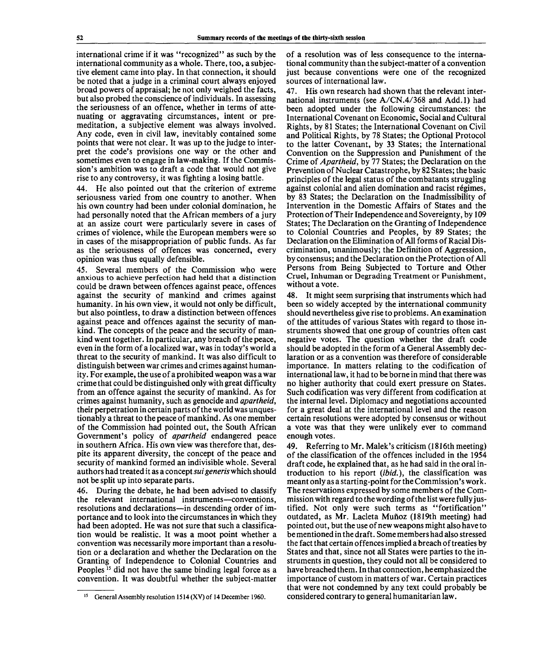international crime if it was "recognized" as such by the international community as a whole. There, too, a subjective element came into play. In that connection, it should be noted that a judge in a criminal court always enjoyed broad powers of appraisal; he not only weighed the facts, but also probed the conscience of individuals. In assessing the seriousness of an offence, whether in terms of attenuating or aggravating circumstances, intent or premeditation, a subjective element was always involved. Any code, even in civil law, inevitably contained some points that were not clear. It was up to the judge to interpret the code's provisions one way or the other and sometimes even to engage in law-making. If the Commission's ambition was to draft a code that would not give rise to any controversy, it was fighting a losing battle.

44. He also pointed out that the criterion of extreme seriousness varied from one country to another. When his own country had been under colonial domination, he had personally noted that the African members of a jury at an assize court were particularly severe in cases of crimes of violence, while the European members were so in cases of the misappropriation of public funds. As far as the seriousness of offences was concerned, every opinion was thus equally defensible.

45. Several members of the Commission who were anxious to achieve perfection had held that a distinction could be drawn between offences against peace, offences against the security of mankind and crimes against humanity. In his own view, it would not only be difficult, but also pointless, to draw a distinction between offences against peace and offences against the security of mankind. The concepts of the peace and the security of mankind went together. In particular, any breach of the peace, even in the form of a localized war, was in today's world a threat to the security of mankind. It was also difficult to distinguish between war crimes and crimes against humanity. For example, the use of a prohibited weapon was a war crime that could be distinguished only with great difficulty from an offence against the security of mankind. As for crimes against humanity, such as genocide and *apartheid,* their perpetration in certain parts of the world was unquestionably a threat to the peace of mankind. As one member of the Commission had pointed out, the South African Government's policy of *apartheid* endangered peace in southern Africa. His own view was therefore that, despite its apparent diversity, the concept of the peace and security of mankind formed an indivisible whole. Several authors had treated it as a concept *sui generis* which should not be split up into separate parts.

46. During the debate, he had been advised to classify the relevant international instruments—conventions, resolutions and declarations—in descending order of importance and to look into the circumstances in which they had been adopted. He was not sure that such a classification would be realistic. It was a moot point whether a convention was necessarily more important than a resolution or a declaration and whether the Declaration on the Granting of Independence to Colonial Countries and Peoples<sup>15</sup> did not have the same binding legal force as a convention. It was doubtful whether the subject-matter

of a resolution was of less consequence to the international community than the subject-matter of a convention just because conventions were one of the recognized sources of international law.

47. His own research had shown that the relevant international instruments (see A/CN.4/368 and Add.l) had been adopted under the following circumstances: the International Covenant on Economic, Social and Cultural Rights, by 81 States; the International Covenant on Civil and Political Rights, by 78 States; the Optional Protocol to the latter Covenant, by 33 States; the International Convention on the Suppression and Punishment of the Crime *of Apartheid,* by 77 States; the Declaration on the Prevention of Nuclear Catastrophe, by 82 States; the basic principles of the legal status of the combatants struggling against colonial and alien domination and racist regimes, by 83 States; the Declaration on the Inadmissibility of Intervention in the Domestic Affairs of States and the Protection of Their Independence and Sovereignty, by 109 States; The Declaration on the Granting of Independence to Colonial Countries and Peoples, by 89 States; the Declaration on the Elimination of All forms of Racial Discrimination, unanimously; the Definition of Aggression, by consensus; and the Declaration on the Protection of All Persons from Being Subjected to Torture and Other Cruel, Inhuman or Degrading Treatment or Punishment, without a vote.

48. It might seem surprising that instruments which had been so widely accepted by the international community should nevertheless give rise to problems. An examination of the attitudes of various States with regard to those instruments showed that one group of countries often cast negative votes. The question whether the draft code should be adopted in the form of a General Assembly declaration or as a convention was therefore of considerable importance. In matters relating to the codification of international law, it had to be borne in mind that there was no higher authority that could exert pressure on States. Such codification was very different from codification at the internal level. Diplomacy and negotiations accounted for a great deal at the international level and the reason certain resolutions were adopted by consensus or without a vote was that they were unlikely ever to command enough votes.

49. Referring to Mr. Malek's criticism (1816th meeting) of the classification of the offences included in the 1954 draft code, he explained that, as he had said in the oral introduction to his report *(ibid.),* the classification was meant only as a starting-point for the Commission's work. The reservations expressed by some members of the Commission with regard to the wording of the list were fully justified. Not only were such terms as "fortification" outdated, as Mr. Lacleta Mufioz (1819th meeting) had pointed out, but the use of new weapons might also have to be mentioned in the draft. Some members had also stressed the fact that certain offences implied a breach of treaties by States and that, since not all States were parties to the instruments in question, they could not all be considered to have breached them. In that connection, he emphasized the importance of custom in matters of war. Certain practices that were not condemned by any text could probably be considered contrary to general humanitarian law.

<sup>&</sup>lt;sup>15</sup> General Assembly resolution 1514 (XV) of 14 December 1960.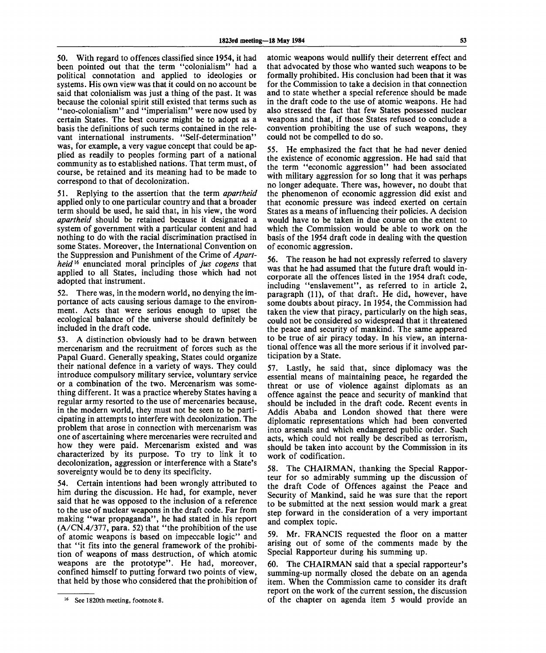50. With regard to offences classified since 1954, it had been pointed out that the term "colonialism" had a political connotation and applied to ideologies or systems. His own view was that it could on no account be said that colonialism was just a thing of the past. It was because the colonial spirit still existed that terms such as "neo-colonialism" and "imperialism" were now used by certain States. The best course might be to adopt as a basis the definitions of such terms contained in the relevant international instruments. "Self-determination" was, for example, a very vague concept that could be applied as readily to peoples forming part of a national community as to established nations. That term must, of course, be retained and its meaning had to be made to correspond to that of decolonization.

51. Replying to the assertion that the term *apartheid* applied only to one particular country and that a broader term should be used, he said that, in his view, the word *apartheid* should be retained because it designated a system of government with a particular content and had nothing to do with the racial discrimination practised in some States. Moreover, the International Convention on the Suppression and Punishment of the Crime of *Apartheid*<sup>16</sup> enunciated moral principles of *jus cogens* that applied to all States, including those which had not adopted that instrument.

52. There was, in the modern world, no denying the importance of acts causing serious damage to the environment. Acts that were serious enough to upset the ecological balance of the universe should definitely be included in the draft code.

53. A distinction obviously had to be drawn between mercenarism and the recruitment of forces such as the Papal Guard. Generally speaking, States could organize their national defence in a variety of ways. They could introduce compulsory military service, voluntary service or a combination of the two. Mercenarism was something different. It was a practice whereby States having a regular army resorted to the use of mercenaries because, in the modern world, they must not be seen to be participating in attempts to interfere with decolonization. The problem that arose in connection with mercenarism was one of ascertaining where mercenaries were recruited and how they were paid. Mercenarism existed and was characterized by its purpose. To try to link it to decolonization, aggression or interference with a State's sovereignty would be to deny its specificity.

54. Certain intentions had been wrongly attributed to him during the discussion. He had, for example, never said that he was opposed to the inclusion of a reference to the use of nuclear weapons in the draft code. Far from making "war propaganda", he had stated in his report (A/CN.4/377, para. 52) that "the prohibition of the use of atomic weapons is based on impeccable logic" and that "it fits into the general framework of the prohibition of weapons of mass destruction, of which atomic weapons are the prototype". He had, moreover, confined himself to putting forward two points of view, that held by those who considered that the prohibition of

atomic weapons would nullify their deterrent effect and that advocated by those who wanted such weapons to be formally prohibited. His conclusion had been that it was for the Commission to take a decision in that connection and to state whether a special reference should be made in the draft code to the use of atomic weapons. He had also stressed the fact that few States possessed nuclear weapons and that, if those States refused to conclude a convention prohibiting the use of such weapons, they could not be compelled to do so.

55. He emphasized the fact that he had never denied the existence of economic aggression. He had said that the term "economic aggression" had been associated with military aggression for so long that it was perhaps no longer adequate. There was, however, no doubt that the phenomenon of economic aggression did exist and that economic pressure was indeed exerted on certain States as a means of influencing their policies. A decision would have to be taken in due course on the extent to which the Commission would be able to work on the basis of the 1954 draft code in dealing with the question of economic aggression.

56. The reason he had not expressly referred to slavery was that he had assumed that the future draft would incorporate all the offences listed in the 1954 draft code, including "enslavement", as referred to in article 2, paragraph (11), of that draft. He did, however, have some doubts about piracy. In 1954, the Commission had taken the view that piracy, particularly on the high seas, could not be considered so widespread that it threatened the peace and security of mankind. The same appeared to be true of air piracy today. In his view, an international offence was all the more serious if it involved participation by a State.

57. Lastly, he said that, since diplomacy was the essential means of maintaining peace, he regarded the threat or use of violence against diplomats as an offence against the peace and security of mankind that should be included in the draft code. Recent events in Addis Ababa and London showed that there were diplomatic representations which had been converted into arsenals and which endangered public order. Such acts, which could not really be described as terrorism, should be taken into account by the Commission in its work of codification.

58. The CHAIRMAN, thanking the Special Rapporteur for so admirably summing up the discussion of the draft Code of Offences against the Peace and Security of Mankind, said he was sure that the report to be submitted at the next session would mark a great step forward in the consideration of a very important and complex topic.

59. Mr. FRANCIS requested the floor on a matter arising out of some of the comments made by the Special Rapporteur during his summing up.

60. The CHAIRMAN said that a special rapporteur's summing-up normally closed the debate on an agenda item. When the Commission came to consider its draft report on the work of the current session, the discussion of the chapter on agenda item 5 would provide an

<sup>16</sup> See 1820th meeting, footnote 8.